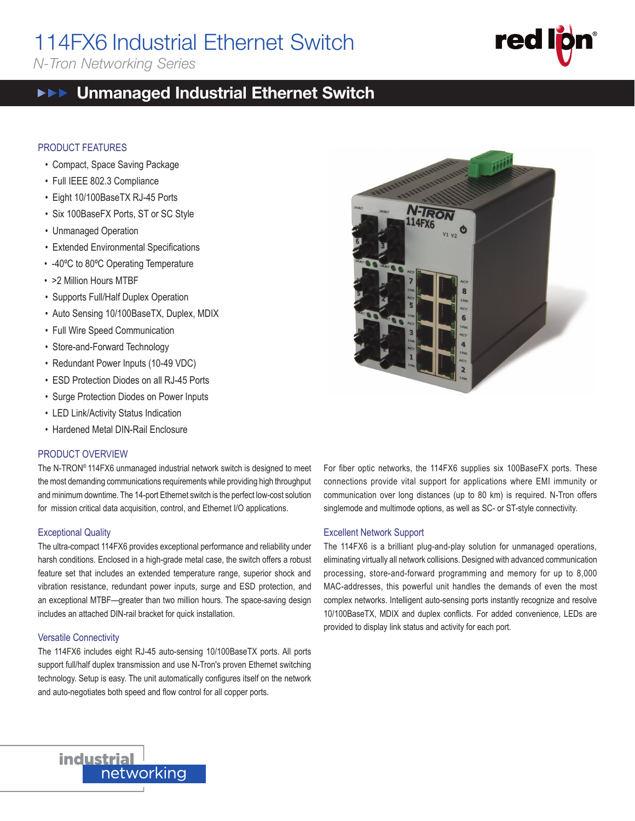# 114FX6 Industrial Ethernet Switch

*N-Tron Networking Series*

#### Unmanaged Industrial Ethernet Switch  $\blacktriangleright \blacktriangleright \blacktriangleright$

#### PRODUCT FEATURES

- Compact, Space Saving Package
- Full IEEE 802.3 Compliance
- Eight 10/100BaseTX RJ-45 Ports
- Six 100BaseFX Ports, ST or SC Style
- Unmanaged Operation
- Extended Environmental Specifications
- -40ºC to 80ºC Operating Temperature
- >2 Million Hours MTBF
- Supports Full/Half Duplex Operation
- Auto Sensing 10/100BaseTX, Duplex, MDIX
- Full Wire Speed Communication
- Store-and-Forward Technology
- Redundant Power Inputs (10-49 VDC)
- ESD Protection Diodes on all RJ-45 Ports
- Surge Protection Diodes on Power Inputs
- LED Link/Activity Status Indication
- Hardened Metal DIN-Rail Enclosure

#### PRODUCT OVERVIEW

The N-TRON® 114FX6 unmanaged industrial network switch is designed to meet the most demanding communications requirements while providing high throughput and minimum downtime. The 14-port Ethernet switch is the perfect low-cost solution for mission critical data acquisition, control, and Ethernet I/O applications.

#### Exceptional Quality

The ultra-compact 114FX6 provides exceptional performance and reliability under harsh conditions. Enclosed in a high-grade metal case, the switch offers a robust feature set that includes an extended temperature range, superior shock and vibration resistance, redundant power inputs, surge and ESD protection, and an exceptional MTBF—greater than two million hours. The space-saving design includes an attached DIN-rail bracket for quick installation.

#### Versatile Connectivity

**industrial** 

networking

The 114FX6 includes eight RJ-45 auto-sensing 10/100BaseTX ports. All ports support full/half duplex transmission and use N-Tron's proven Ethernet switching technology. Setup is easy. The unit automatically configures itself on the network and auto-negotiates both speed and flow control for all copper ports.



14FX6

#### Excellent Network Support

The 114FX6 is a brilliant plug-and-play solution for unmanaged operations, eliminating virtually all network collisions. Designed with advanced communication processing, store-and-forward programming and memory for up to 8,000 MAC-addresses, this powerful unit handles the demands of even the most complex networks. Intelligent auto-sensing ports instantly recognize and resolve 10/100BaseTX, MDIX and duplex conflicts. For added convenience, LEDs are provided to display link status and activity for each port.



114FX6<br>Tarihi 114FX6<br>FX6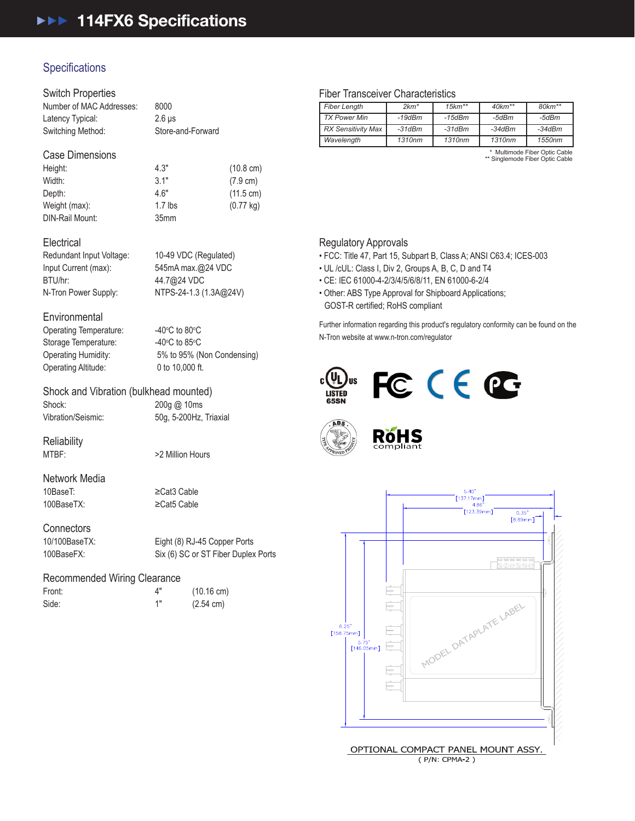## **Specifications**

#### Switch Properties

| Number of MAC Addresses: | 8000              |
|--------------------------|-------------------|
| Latency Typical:         | $2.6 \,\mu s$     |
| Switching Method:        | Store-and-Forward |
|                          |                   |

#### Case Dimensions

| Height:         | 4.3"             | $(10.8 \text{ cm})$ |
|-----------------|------------------|---------------------|
| Width:          | 3.1"             | $(7.9 \text{ cm})$  |
| Depth:          | 4.6"             | $(11.5 \text{ cm})$ |
| Weight (max):   | $1.7$ lbs        | $(0.77 \text{ kg})$ |
| DIN-Rail Mount: | 35 <sub>mm</sub> |                     |

#### **Electrical**

Redundant Input Voltage: 10-49 VDC (Regulated) Input Current (max): 545mA max.@24 VDC BTU/hr: 44.7@24 VDC N-Tron Power Supply: NTPS-24-1.3 (1.3A@24V)

#### **Environmental**

Operating Temperature: Storage Temperature: Operating Altitude: 0 to 10,000 ft.

C to  $80^{\circ}$ C C to  $85^{\circ}$ C Operating Humidity: 5% to 95% (Non Condensing)

## Shock and Vibration (bulkhead mounted)

Shock: 200g @ 10ms Vibration/Seismic: 50g, 5-200Hz, Triaxial

**Reliability** 

MTBF:  $>2$  Million Hours

Network Media<br>10BaseT: 100BaseTX: ≥Cat5 Cable

≥Cat3 Cable

## Connectors<br>10/100BaseTX:

Eight (8) RJ-45 Copper Ports 100BaseFX: Six (6) SC or ST Fiber Duplex Ports

#### Recommended Wiring Clearance

| Front: | Δ"  | $(10.16 \text{ cm})$ |
|--------|-----|----------------------|
| Side:  | 4 H | $(2.54 \text{ cm})$  |

#### Fiber Transceiver Characteristics

| <b>Fiber Length</b>       | $2km*$   | $15km**$ | $40km**$ | $80 km**$                     |
|---------------------------|----------|----------|----------|-------------------------------|
|                           |          |          |          |                               |
| <b>TX Power Min</b>       | $-19dBm$ | -15dBm   | -5dBm    | -5dBm                         |
| <b>RX Sensitivity Max</b> | $-31dBm$ | $-31dBm$ | $-34dBm$ | $-34dBm$                      |
| Wavelength                | 1310nm   | 1310nm   | 1310nm   | 1550nm                        |
|                           |          |          |          | * Multimode Fiber Ontio Coble |

\* Multimode Fiber Optic Cable \*\* Singlemode Fiber Optic Cable

#### Regulatory Approvals

• FCC: Title 47, Part 15, Subpart B, Class A; ANSI C63.4; ICES-003

- UL /cUL: Class I, Div 2, Groups A, B, C, D and T4
- CE: IEC 61000-4-2/3/4/5/6/8/11, EN 61000-6-2/4
- Other: ABS Type Approval for Shipboard Applications; GOST-R certified; RoHS compliant

Further information regarding this product's regulatory conformity can be found on the N-Tron website at www.n-tron.com/regulator